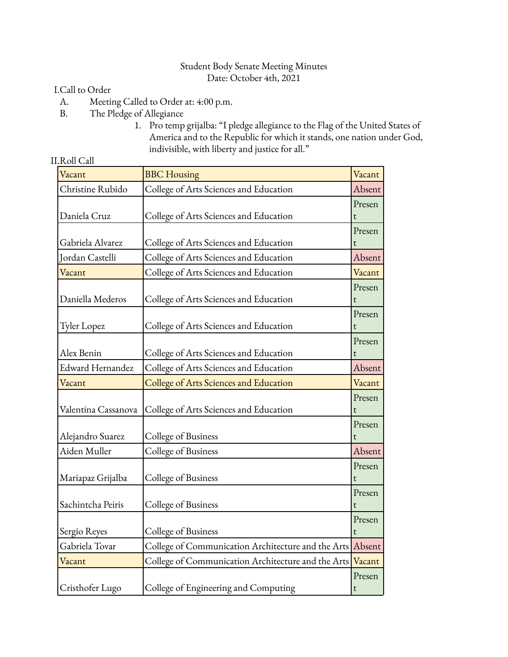#### Student Body Senate Meeting Minutes Date: October 4th, 2021

### I.Call to Order

- A. Meeting Called to Order at: 4:00 p.m.
- B. The Pledge of Allegiance
	- 1. Pro temp grijalba: "I pledge allegiance to the Flag of the United States of America and to the Republic for which it stands, one nation under God, indivisible, with liberty and justice for all."

#### II.Roll Call

| Vacant              | <b>BBC</b> Housing                                        | Vacant                 |
|---------------------|-----------------------------------------------------------|------------------------|
| Christine Rubido    | College of Arts Sciences and Education                    | Absent                 |
| Daniela Cruz        | College of Arts Sciences and Education                    | Presen<br>t            |
| Gabriela Alvarez    | College of Arts Sciences and Education                    | Presen<br>t            |
| Jordan Castelli     | College of Arts Sciences and Education                    | Absent                 |
| Vacant              | College of Arts Sciences and Education                    | Vacant                 |
| Daniella Mederos    | College of Arts Sciences and Education                    | Presen<br>t            |
| Tyler Lopez         | College of Arts Sciences and Education                    | Presen<br>t            |
| Alex Benin          | College of Arts Sciences and Education                    | Presen                 |
| Edward Hernandez    | College of Arts Sciences and Education                    | Absent                 |
| Vacant              | College of Arts Sciences and Education                    | Vacant                 |
| Valentina Cassanova | College of Arts Sciences and Education                    | Presen<br>t            |
| Alejandro Suarez    | College of Business                                       | Presen<br>$\mathsf{t}$ |
| Aiden Muller        | College of Business                                       | Absent                 |
| Mariapaz Grijalba   | College of Business                                       | Presen<br>t            |
| Sachintcha Peiris   | College of Business                                       | Presen<br>t            |
| Sergio Reyes        | College of Business                                       | Presen<br>t            |
| Gabriela Tovar      | College of Communication Architecture and the Arts Absent |                        |
| Vacant              | College of Communication Architecture and the Arts        | Vacant                 |
| Cristhofer Lugo     | College of Engineering and Computing                      | Presen<br>t            |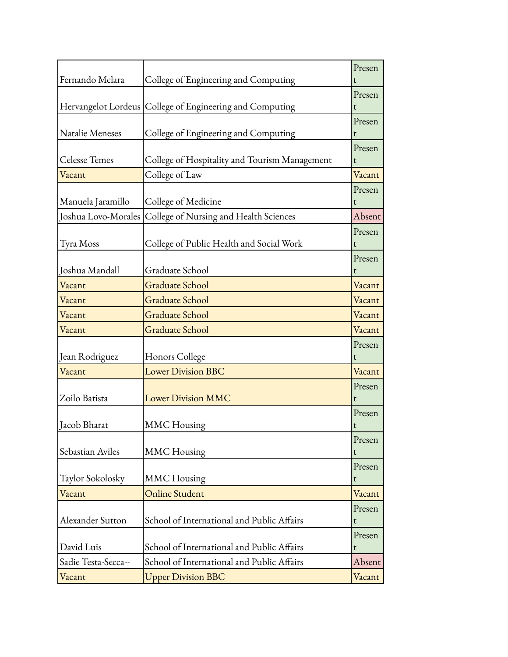|                     |                                                          | Presen      |
|---------------------|----------------------------------------------------------|-------------|
| Fernando Melara     | College of Engineering and Computing                     | t           |
|                     |                                                          | Presen      |
|                     | Hervangelot Lordeus College of Engineering and Computing | t           |
|                     |                                                          | Presen      |
| Natalie Meneses     | College of Engineering and Computing                     | t           |
| Celesse Temes       | College of Hospitality and Tourism Management            | Presen<br>t |
| Vacant              | College of Law                                           | Vacant      |
|                     |                                                          |             |
| Manuela Jaramillo   | College of Medicine                                      | Presen<br>t |
| Joshua Lovo-Morales | College of Nursing and Health Sciences                   | Absent      |
|                     |                                                          | Presen      |
| Tyra Moss           | College of Public Health and Social Work                 | t           |
|                     |                                                          | Presen      |
| Joshua Mandall      | Graduate School                                          | t           |
| Vacant              | <b>Graduate School</b>                                   | Vacant      |
| Vacant              | <b>Graduate School</b>                                   | Vacant      |
| Vacant              | <b>Graduate School</b>                                   | Vacant      |
| Vacant              | <b>Graduate School</b>                                   | Vacant      |
|                     |                                                          | Presen      |
| Jean Rodriguez      | Honors College                                           | t           |
| Vacant              | <b>Lower Division BBC</b>                                | Vacant      |
|                     |                                                          | Presen      |
| Zoilo Batista       | <b>Lower Division MMC</b>                                | t           |
|                     |                                                          | Presen      |
| Jacob Bharat        | <b>MMC</b> Housing                                       | t           |
|                     |                                                          | Presen      |
| Sebastian Aviles    | <b>MMC</b> Housing                                       | t           |
| Taylor Sokolosky    | <b>MMC</b> Housing                                       | Presen<br>t |
| Vacant              | <b>Online Student</b>                                    | Vacant      |
|                     |                                                          |             |
| Alexander Sutton    | School of International and Public Affairs               | Presen<br>t |
|                     |                                                          | Presen      |
| David Luis          | School of International and Public Affairs               | t           |
| Sadie Testa-Secca-- | School of International and Public Affairs               | Absent      |
| Vacant              | <b>Upper Division BBC</b>                                | Vacant      |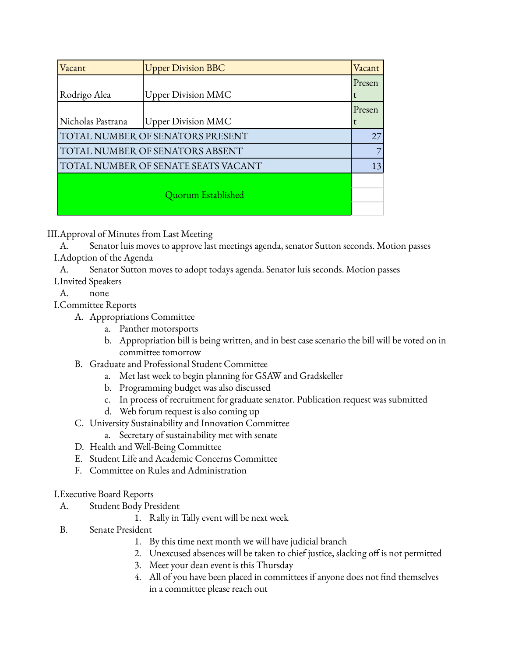| Vacant                              | <b>Upper Division BBC</b> | Vacant |
|-------------------------------------|---------------------------|--------|
|                                     |                           | Presen |
| Rodrigo Alea                        | <b>Upper Division MMC</b> | t      |
|                                     |                           | Presen |
| Nicholas Pastrana                   | <b>Upper Division MMC</b> | t      |
| TOTAL NUMBER OF SENATORS PRESENT    |                           |        |
| TOTAL NUMBER OF SENATORS ABSENT     |                           |        |
| TOTAL NUMBER OF SENATE SEATS VACANT |                           |        |
|                                     |                           |        |
| Quorum Established                  |                           |        |
|                                     |                           |        |

III.Approval of Minutes from Last Meeting

A. Senator luis moves to approve last meetings agenda, senator Sutton seconds. Motion passes I.Adoption of the Agenda

A. Senator Sutton moves to adopt todays agenda. Senator luis seconds. Motion passes I.Invited Speakers

A. none

I.Committee Reports

A. Appropriations Committee

- a. Panther motorsports
- b. Appropriation bill is being written, and in best case scenario the bill will be voted on in committee tomorrow
- B. Graduate and Professional Student Committee
	- a. Met last week to begin planning for GSAW and Gradskeller
	- b. Programming budget was also discussed
	- c. In process of recruitment for graduate senator. Publication request was submitted
	- d. Web forum request is also coming up
- C. University Sustainability and Innovation Committee
	- a. Secretary of sustainability met with senate
- D. Health and Well-Being Committee
- E. Student Life and Academic Concerns Committee
- F. Committee on Rules and Administration

## I.Executive Board Reports

- A. Student Body President
	- 1. Rally in Tally event will be next week
- B. Senate President
	- 1. By this time next month we will have judicial branch
	- 2. Unexcused absences will be taken to chief justice, slacking off is not permitted
	- 3. Meet your dean event is this Thursday
	- 4. All of you have been placed in committees if anyone does not find themselves in a committee please reach out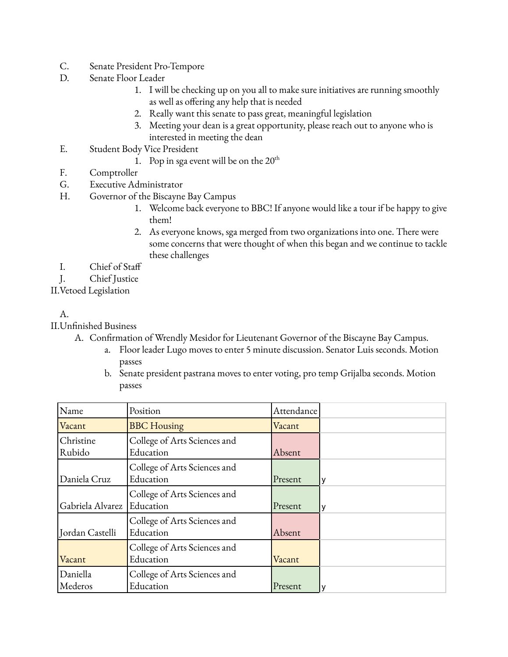- C. Senate President Pro-Tempore
- D. Senate Floor Leader
	- 1. I will be checking up on you all to make sure initiatives are running smoothly as well as offering any help that is needed
	- 2. Really want this senate to pass great, meaningful legislation
	- 3. Meeting your dean is a great opportunity, please reach out to anyone who is interested in meeting the dean
- E. Student Body Vice President
	- 1. Pop in sga event will be on the  $20<sup>th</sup>$
- F. Comptroller
- G. Executive Administrator
- H. Governor of the Biscayne Bay Campus
	- 1. Welcome back everyone to BBC! If anyone would like a tour if be happy to give them!
	- 2. As everyone knows, sga merged from two organizations into one. There were some concerns that were thought of when this began and we continue to tackle these challenges
- I. Chief of Staff

J. Chief Justice

II.Vetoed Legislation

## A.

II.Unfinished Business

- A. Confirmation of Wrendly Mesidor for Lieutenant Governor of the Biscayne Bay Campus.
	- a. Floor leader Lugo moves to enter 5 minute discussion. Senator Luis seconds. Motion passes
	- b. Senate president pastrana moves to enter voting, pro temp Grijalba seconds. Motion passes

| Name                | Position                                  | Attendance |   |
|---------------------|-------------------------------------------|------------|---|
| Vacant              | <b>BBC</b> Housing                        | Vacant     |   |
| Christine<br>Rubido | College of Arts Sciences and<br>Education | Absent     |   |
| Daniela Cruz        | College of Arts Sciences and<br>Education | Present    | ν |
| Gabriela Alvarez    | College of Arts Sciences and<br>Education | Present    | ٧ |
| Jordan Castelli     | College of Arts Sciences and<br>Education | Absent     |   |
| Vacant              | College of Arts Sciences and<br>Education | Vacant     |   |
| Daniella<br>Mederos | College of Arts Sciences and<br>Education | Present    | v |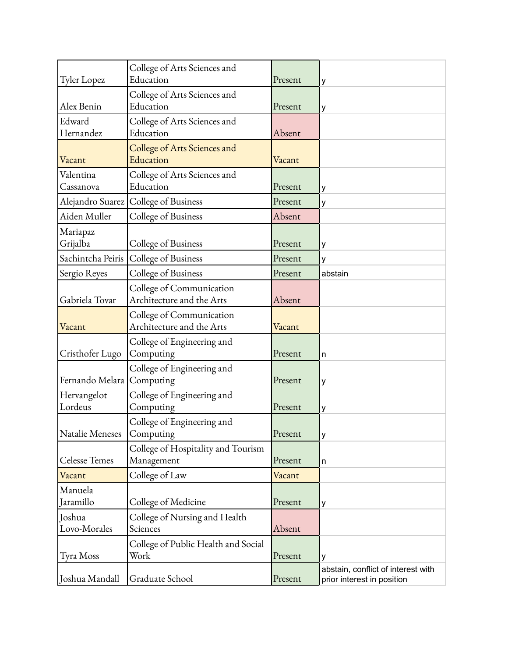| Tyler Lopez                 | College of Arts Sciences and<br>Education             | Present | у                                                                |
|-----------------------------|-------------------------------------------------------|---------|------------------------------------------------------------------|
| Alex Benin                  | College of Arts Sciences and<br>Education             | Present | у                                                                |
| Edward<br>Hernandez         | College of Arts Sciences and<br>Education             | Absent  |                                                                  |
| Vacant                      | College of Arts Sciences and<br>Education             | Vacant  |                                                                  |
| Valentina<br>Cassanova      | College of Arts Sciences and<br>Education             | Present | у                                                                |
|                             | Alejandro Suarez   College of Business                | Present | у                                                                |
| Aiden Muller                | College of Business                                   | Absent  |                                                                  |
| Mariapaz<br>Grijalba        | College of Business                                   | Present | у                                                                |
| Sachintcha Peiris           | College of Business                                   | Present | у                                                                |
| Sergio Reyes                | College of Business                                   | Present | abstain                                                          |
| Gabriela Tovar              | College of Communication<br>Architecture and the Arts | Absent  |                                                                  |
| Vacant                      | College of Communication<br>Architecture and the Arts | Vacant  |                                                                  |
| Cristhofer Lugo             | College of Engineering and<br>Computing               | Present | n                                                                |
| Fernando Melara   Computing | College of Engineering and                            | Present | у                                                                |
| Hervangelot<br>Lordeus      | College of Engineering and<br>Computing               | Present | у                                                                |
| Natalie Meneses             | College of Engineering and<br>Computing               | Present | у                                                                |
| <b>Celesse Temes</b>        | College of Hospitality and Tourism<br>Management      | Present | n                                                                |
| Vacant                      | College of Law                                        | Vacant  |                                                                  |
| Manuela<br>Jaramillo        | College of Medicine                                   | Present | у                                                                |
| Joshua<br>Lovo-Morales      | College of Nursing and Health<br>Sciences             | Absent  |                                                                  |
| Tyra Moss                   | College of Public Health and Social<br>Work           | Present | у                                                                |
| Joshua Mandall              | Graduate School                                       | Present | abstain, conflict of interest with<br>prior interest in position |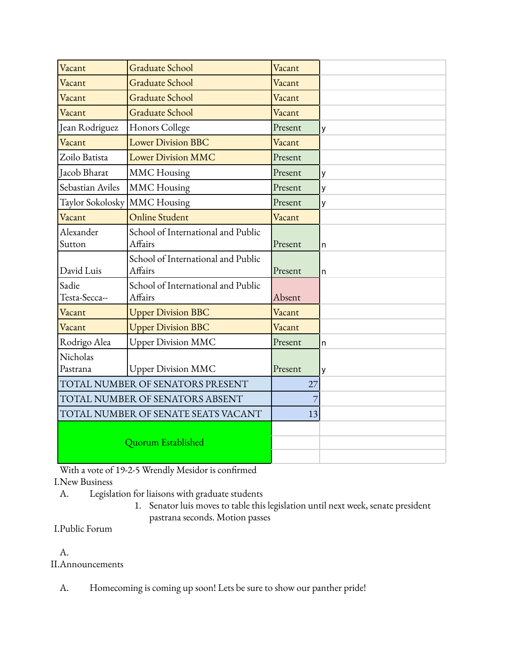| Vacant                              | <b>Graduate School</b>                        | Vacant  |   |
|-------------------------------------|-----------------------------------------------|---------|---|
| Vacant                              | <b>Graduate School</b>                        | Vacant  |   |
| Vacant                              | Graduate School                               | Vacant  |   |
| Vacant                              | Graduate School                               | Vacant  |   |
| Jean Rodriguez                      | Honors College                                | Present | у |
| Vacant                              | <b>Lower Division BBC</b>                     | Vacant  |   |
| Zoilo Batista                       | <b>Lower Division MMC</b>                     | Present |   |
| Jacob Bharat                        | <b>MMC</b> Housing                            | Present | y |
| Sebastian Aviles                    | <b>MMC</b> Housing                            | Present | y |
| Taylor Sokolosky                    | <b>MMC</b> Housing                            | Present | у |
| Vacant                              | Online Student                                | Vacant  |   |
| Alexander<br>Sutton                 | School of International and Public<br>Affairs | Present | n |
| David Luis                          | School of International and Public<br>Affairs | Present | n |
| Sadie<br>Testa-Secca--              | School of International and Public<br>Affairs | Absent  |   |
| Vacant                              | <b>Upper Division BBC</b>                     | Vacant  |   |
| Vacant                              | <b>Upper Division BBC</b>                     | Vacant  |   |
| Rodrigo Alea                        | <b>Upper Division MMC</b>                     | Present | n |
| Nicholas                            |                                               |         |   |
| Pastrana                            | <b>Upper Division MMC</b>                     | Present | у |
| TOTAL NUMBER OF SENATORS PRESENT    |                                               | 27      |   |
| TOTAL NUMBER OF SENATORS ABSENT     |                                               |         |   |
| TOTAL NUMBER OF SENATE SEATS VACANT |                                               | 13      |   |
| Quorum Established                  |                                               |         |   |

With a vote of 19-2-5 Wrendly Mesidor is confirmed

I.New Business

A. Legislation for liaisons with graduate students

1. Senator luis moves to table this legislation until next week, senate president pastrana seconds. Motion passes

# I.Public Forum

# A.

II.Announcements

A. Homecoming is coming up soon! Lets be sure to show our panther pride!